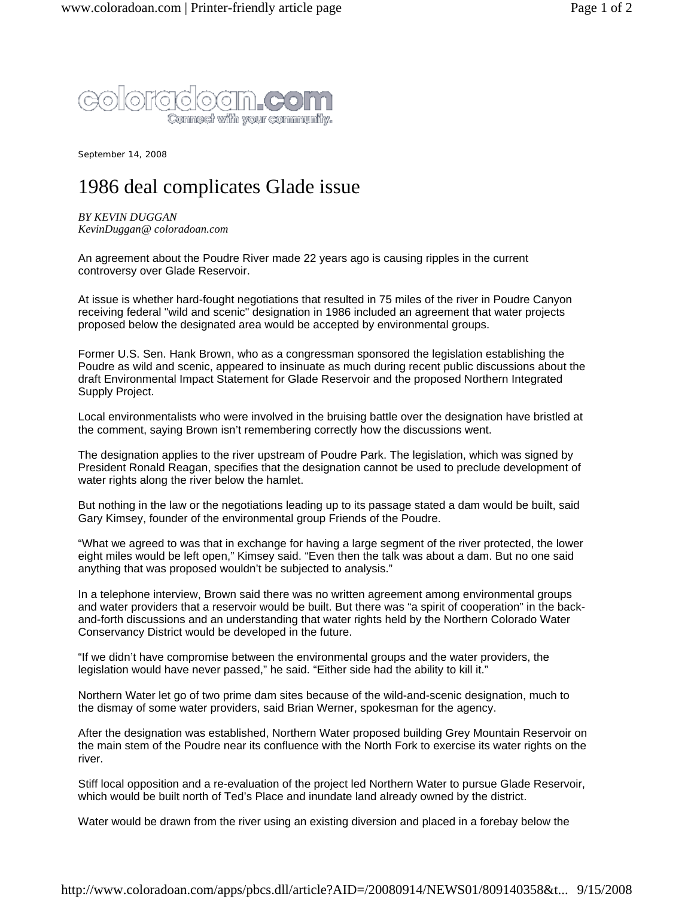

September 14, 2008

## 1986 deal complicates Glade issue

*BY KEVIN DUGGAN KevinDuggan@ coloradoan.com*

An agreement about the Poudre River made 22 years ago is causing ripples in the current controversy over Glade Reservoir.

At issue is whether hard-fought negotiations that resulted in 75 miles of the river in Poudre Canyon receiving federal "wild and scenic" designation in 1986 included an agreement that water projects proposed below the designated area would be accepted by environmental groups.

Former U.S. Sen. Hank Brown, who as a congressman sponsored the legislation establishing the Poudre as wild and scenic, appeared to insinuate as much during recent public discussions about the draft Environmental Impact Statement for Glade Reservoir and the proposed Northern Integrated Supply Project.

Local environmentalists who were involved in the bruising battle over the designation have bristled at the comment, saying Brown isn't remembering correctly how the discussions went.

The designation applies to the river upstream of Poudre Park. The legislation, which was signed by President Ronald Reagan, specifies that the designation cannot be used to preclude development of water rights along the river below the hamlet.

But nothing in the law or the negotiations leading up to its passage stated a dam would be built, said Gary Kimsey, founder of the environmental group Friends of the Poudre.

"What we agreed to was that in exchange for having a large segment of the river protected, the lower eight miles would be left open," Kimsey said. "Even then the talk was about a dam. But no one said anything that was proposed wouldn't be subjected to analysis."

In a telephone interview, Brown said there was no written agreement among environmental groups and water providers that a reservoir would be built. But there was "a spirit of cooperation" in the backand-forth discussions and an understanding that water rights held by the Northern Colorado Water Conservancy District would be developed in the future.

"If we didn't have compromise between the environmental groups and the water providers, the legislation would have never passed," he said. "Either side had the ability to kill it."

Northern Water let go of two prime dam sites because of the wild-and-scenic designation, much to the dismay of some water providers, said Brian Werner, spokesman for the agency.

After the designation was established, Northern Water proposed building Grey Mountain Reservoir on the main stem of the Poudre near its confluence with the North Fork to exercise its water rights on the river.

Stiff local opposition and a re-evaluation of the project led Northern Water to pursue Glade Reservoir, which would be built north of Ted's Place and inundate land already owned by the district.

Water would be drawn from the river using an existing diversion and placed in a forebay below the